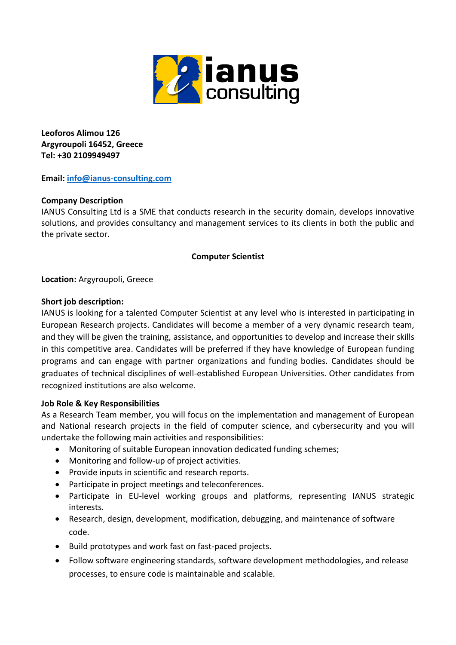

**Leoforos Alimou 126 Argyroupoli 16452, Greece Tel: +30 2109949497**

**Email: [info@ianus-consulting.com](mailto:info@ianus-consulting.com)**

# **Company Description**

IANUS Consulting Ltd is a SME that conducts research in the security domain, develops innovative solutions, and provides consultancy and management services to its clients in both the public and the private sector.

## **Computer Scientist**

**Location:** Argyroupoli, Greece

## **Short job description:**

IANUS is looking for a talented Computer Scientist at any level who is interested in participating in European Research projects. Candidates will become a member of a very dynamic research team, and they will be given the training, assistance, and opportunities to develop and increase their skills in this competitive area. Candidates will be preferred if they have knowledge of European funding programs and can engage with partner organizations and funding bodies. Candidates should be graduates of technical disciplines of well-established European Universities. Other candidates from recognized institutions are also welcome.

### **Job Role & Key Responsibilities**

As a Research Team member, you will focus on the implementation and management of European and National research projects in the field of computer science, and cybersecurity and you will undertake the following main activities and responsibilities:

- Monitoring of suitable European innovation dedicated funding schemes;
- Monitoring and follow-up of project activities.
- Provide inputs in scientific and research reports.
- Participate in project meetings and teleconferences.
- Participate in EU-level working groups and platforms, representing IANUS strategic interests.
- Research, design, development, modification, debugging, and maintenance of software code.
- Build prototypes and work fast on fast-paced projects.
- Follow software engineering standards, software development methodologies, and release processes, to ensure code is maintainable and scalable.